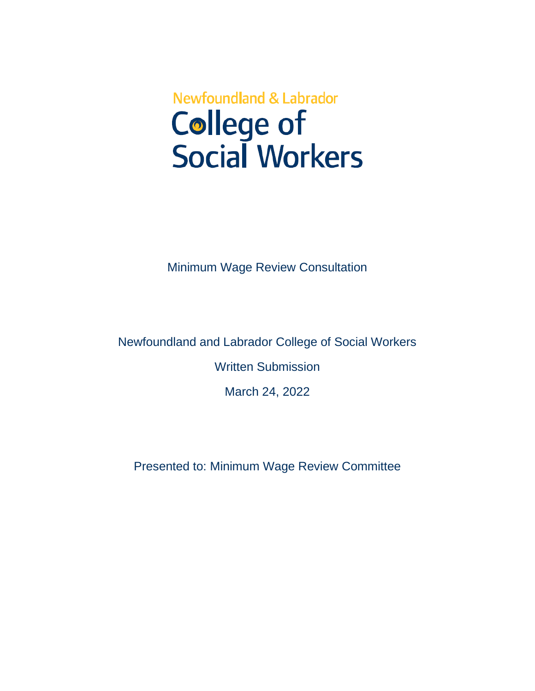# **Newfoundland & Labrador College of<br>Social Workers**

Minimum Wage Review Consultation

Newfoundland and Labrador College of Social Workers Written Submission

March 24, 2022

Presented to: Minimum Wage Review Committee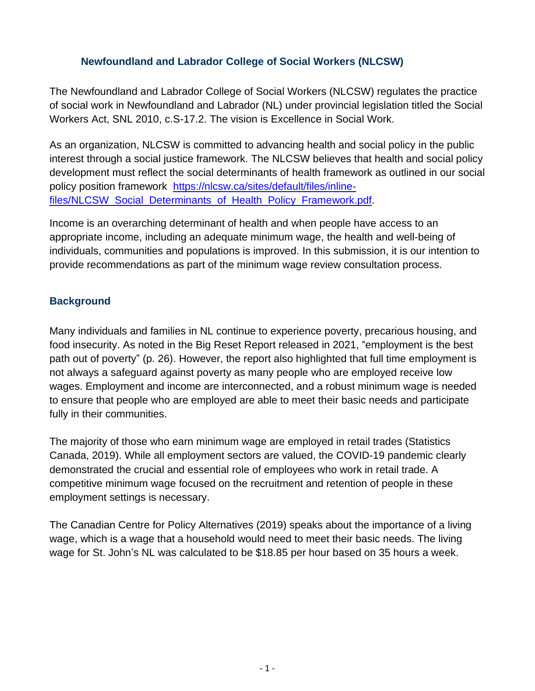## **Newfoundland and Labrador College of Social Workers (NLCSW)**

The Newfoundland and Labrador College of Social Workers (NLCSW) regulates the practice of social work in Newfoundland and Labrador (NL) under provincial legislation titled the Social Workers Act, SNL 2010, c.S-17.2. The vision is Excellence in Social Work.

As an organization, NLCSW is committed to advancing health and social policy in the public interest through a social justice framework. The NLCSW believes that health and social policy development must reflect the social determinants of health framework as outlined in our social policy position framework [https://nlcsw.ca/sites/default/files/inline](https://nlcsw.ca/sites/default/files/inline-files/NLCSW_Social_Determinants_of_Health_Policy_Framework.pdf)[files/NLCSW\\_Social\\_Determinants\\_of\\_Health\\_Policy\\_Framework.pdf.](https://nlcsw.ca/sites/default/files/inline-files/NLCSW_Social_Determinants_of_Health_Policy_Framework.pdf)

Income is an overarching determinant of health and when people have access to an appropriate income, including an adequate minimum wage, the health and well-being of individuals, communities and populations is improved. In this submission, it is our intention to provide recommendations as part of the minimum wage review consultation process.

## **Background**

Many individuals and families in NL continue to experience poverty, precarious housing, and food insecurity. As noted in the Big Reset Report released in 2021, "employment is the best path out of poverty" (p. 26). However, the report also highlighted that full time employment is not always a safeguard against poverty as many people who are employed receive low wages. Employment and income are interconnected, and a robust minimum wage is needed to ensure that people who are employed are able to meet their basic needs and participate fully in their communities.

The majority of those who earn minimum wage are employed in retail trades (Statistics Canada, 2019). While all employment sectors are valued, the COVID-19 pandemic clearly demonstrated the crucial and essential role of employees who work in retail trade. A competitive minimum wage focused on the recruitment and retention of people in these employment settings is necessary.

The Canadian Centre for Policy Alternatives (2019) speaks about the importance of a living wage, which is a wage that a household would need to meet their basic needs. The living wage for St. John's NL was calculated to be \$18.85 per hour based on 35 hours a week.